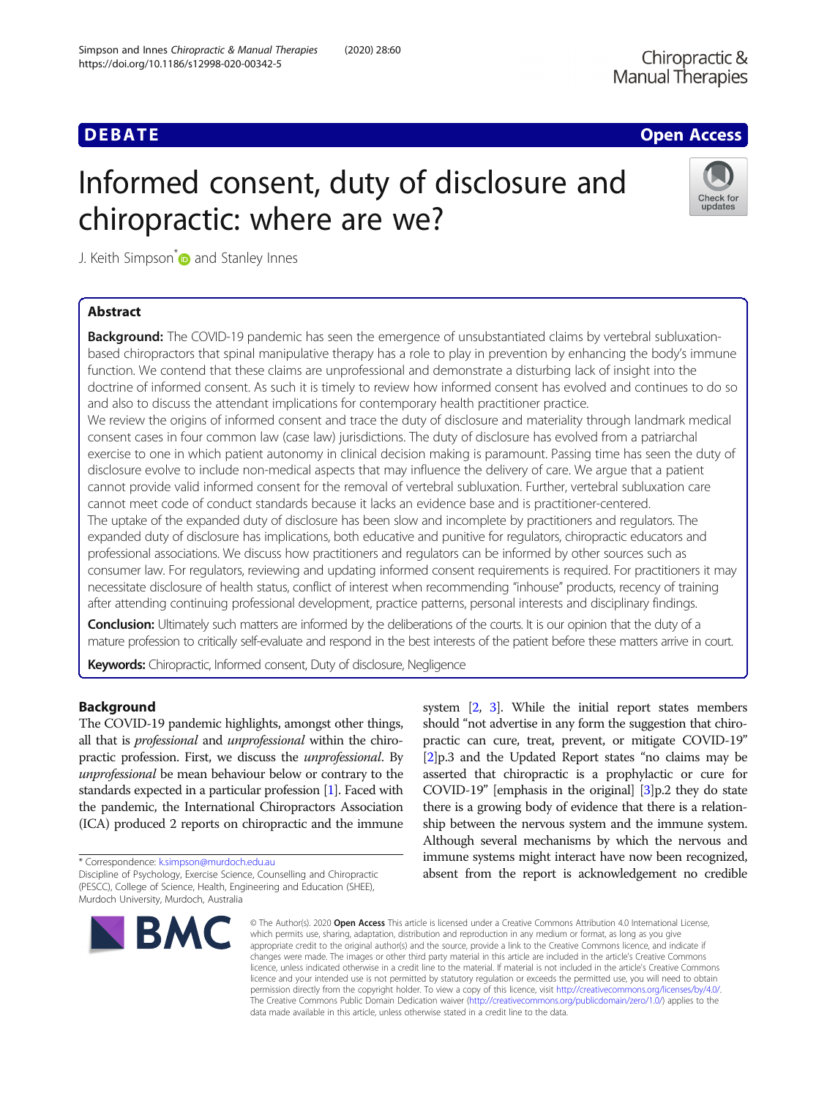# **DEBATE CONSIDERED ACCESS CONSIDERED ACCESS**

# Informed consent, duty of disclosure and chiropractic: where are we?



J. Keith Simpson<sup>[\\*](http://orcid.org/0000-0002-9110-8724)</sup> and Stanley Innes

### Abstract

Background: The COVID-19 pandemic has seen the emergence of unsubstantiated claims by vertebral subluxationbased chiropractors that spinal manipulative therapy has a role to play in prevention by enhancing the body's immune function. We contend that these claims are unprofessional and demonstrate a disturbing lack of insight into the doctrine of informed consent. As such it is timely to review how informed consent has evolved and continues to do so and also to discuss the attendant implications for contemporary health practitioner practice. We review the origins of informed consent and trace the duty of disclosure and materiality through landmark medical consent cases in four common law (case law) jurisdictions. The duty of disclosure has evolved from a patriarchal exercise to one in which patient autonomy in clinical decision making is paramount. Passing time has seen the duty of disclosure evolve to include non-medical aspects that may influence the delivery of care. We argue that a patient cannot provide valid informed consent for the removal of vertebral subluxation. Further, vertebral subluxation care cannot meet code of conduct standards because it lacks an evidence base and is practitioner-centered. The uptake of the expanded duty of disclosure has been slow and incomplete by practitioners and regulators. The expanded duty of disclosure has implications, both educative and punitive for regulators, chiropractic educators and professional associations. We discuss how practitioners and regulators can be informed by other sources such as consumer law. For regulators, reviewing and updating informed consent requirements is required. For practitioners it may necessitate disclosure of health status, conflict of interest when recommending "inhouse" products, recency of training after attending continuing professional development, practice patterns, personal interests and disciplinary findings.

Conclusion: Ultimately such matters are informed by the deliberations of the courts. It is our opinion that the duty of a mature profession to critically self-evaluate and respond in the best interests of the patient before these matters arrive in court.

Keywords: Chiropractic, Informed consent, Duty of disclosure, Negligence

#### Background

The COVID-19 pandemic highlights, amongst other things, all that is professional and unprofessional within the chiropractic profession. First, we discuss the unprofessional. By unprofessional be mean behaviour below or contrary to the standards expected in a particular profession [\[1\]](#page-10-0). Faced with the pandemic, the International Chiropractors Association (ICA) produced 2 reports on chiropractic and the immune

\* Correspondence: [k.simpson@murdoch.edu.au](mailto:k.simpson@murdoch.edu.au) Discipline of Psychology, Exercise Science, Counselling and Chiropractic (PESCC), College of Science, Health, Engineering and Education (SHEE), Murdoch University, Murdoch, Australia



system [\[2,](#page-10-0) [3\]](#page-10-0). While the initial report states members should "not advertise in any form the suggestion that chiropractic can cure, treat, prevent, or mitigate COVID-19" [[2](#page-10-0)]p.3 and the Updated Report states "no claims may be asserted that chiropractic is a prophylactic or cure for COVID-19" [emphasis in the original] [\[3\]](#page-10-0)p.2 they do state there is a growing body of evidence that there is a relationship between the nervous system and the immune system. Although several mechanisms by which the nervous and immune systems might interact have now been recognized, absent from the report is acknowledgement no credible

© The Author(s), 2020 **Open Access** This article is licensed under a Creative Commons Attribution 4.0 International License, which permits use, sharing, adaptation, distribution and reproduction in any medium or format, as long as you give appropriate credit to the original author(s) and the source, provide a link to the Creative Commons licence, and indicate if changes were made. The images or other third party material in this article are included in the article's Creative Commons licence, unless indicated otherwise in a credit line to the material. If material is not included in the article's Creative Commons licence and your intended use is not permitted by statutory regulation or exceeds the permitted use, you will need to obtain permission directly from the copyright holder. To view a copy of this licence, visit [http://creativecommons.org/licenses/by/4.0/.](http://creativecommons.org/licenses/by/4.0/) The Creative Commons Public Domain Dedication waiver [\(http://creativecommons.org/publicdomain/zero/1.0/](http://creativecommons.org/publicdomain/zero/1.0/)) applies to the data made available in this article, unless otherwise stated in a credit line to the data.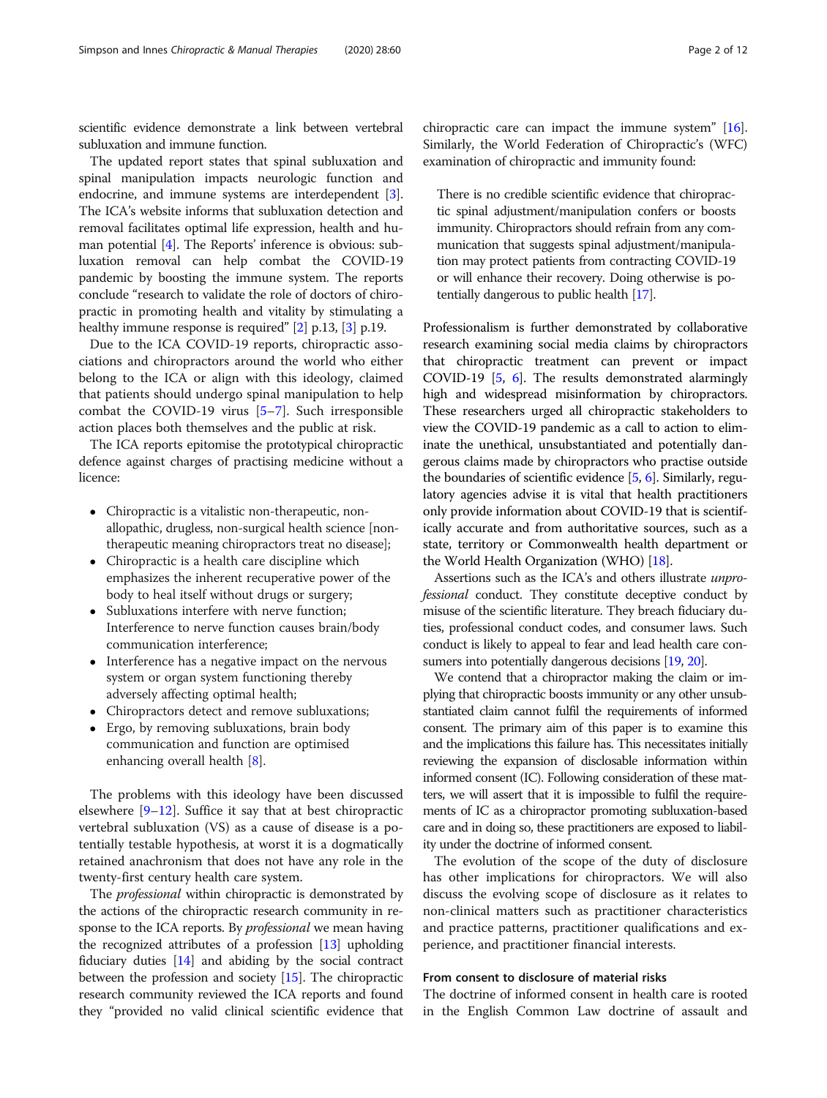scientific evidence demonstrate a link between vertebral subluxation and immune function.

The updated report states that spinal subluxation and spinal manipulation impacts neurologic function and endocrine, and immune systems are interdependent [[3](#page-10-0)]. The ICA's website informs that subluxation detection and removal facilitates optimal life expression, health and human potential [\[4\]](#page-10-0). The Reports' inference is obvious: subluxation removal can help combat the COVID-19 pandemic by boosting the immune system. The reports conclude "research to validate the role of doctors of chiropractic in promoting health and vitality by stimulating a healthy immune response is required" [[2\]](#page-10-0) p.13, [\[3\]](#page-10-0) p.19.

Due to the ICA COVID-19 reports, chiropractic associations and chiropractors around the world who either belong to the ICA or align with this ideology, claimed that patients should undergo spinal manipulation to help combat the COVID-19 virus [\[5](#page-10-0)–[7](#page-10-0)]. Such irresponsible action places both themselves and the public at risk.

The ICA reports epitomise the prototypical chiropractic defence against charges of practising medicine without a licence:

- Chiropractic is a vitalistic non-therapeutic, nonallopathic, drugless, non-surgical health science [nontherapeutic meaning chiropractors treat no disease];
- Chiropractic is a health care discipline which emphasizes the inherent recuperative power of the body to heal itself without drugs or surgery;
- Subluxations interfere with nerve function; Interference to nerve function causes brain/body communication interference;
- Interference has a negative impact on the nervous system or organ system functioning thereby adversely affecting optimal health;
- Chiropractors detect and remove subluxations;
- Ergo, by removing subluxations, brain body communication and function are optimised enhancing overall health [[8](#page-10-0)].

The problems with this ideology have been discussed elsewhere  $[9-12]$  $[9-12]$  $[9-12]$  $[9-12]$ . Suffice it say that at best chiropractic vertebral subluxation (VS) as a cause of disease is a potentially testable hypothesis, at worst it is a dogmatically retained anachronism that does not have any role in the twenty-first century health care system.

The *professional* within chiropractic is demonstrated by the actions of the chiropractic research community in response to the ICA reports. By *professional* we mean having the recognized attributes of a profession [[13](#page-10-0)] upholding fiduciary duties [[14](#page-10-0)] and abiding by the social contract between the profession and society [\[15\]](#page-10-0). The chiropractic research community reviewed the ICA reports and found they "provided no valid clinical scientific evidence that

chiropractic care can impact the immune system" [[16](#page-10-0)]. Similarly, the World Federation of Chiropractic's (WFC) examination of chiropractic and immunity found:

There is no credible scientific evidence that chiropractic spinal adjustment/manipulation confers or boosts immunity. Chiropractors should refrain from any communication that suggests spinal adjustment/manipulation may protect patients from contracting COVID-19 or will enhance their recovery. Doing otherwise is potentially dangerous to public health [\[17\]](#page-10-0).

Professionalism is further demonstrated by collaborative research examining social media claims by chiropractors that chiropractic treatment can prevent or impact COVID-19 [\[5,](#page-10-0) [6\]](#page-10-0). The results demonstrated alarmingly high and widespread misinformation by chiropractors. These researchers urged all chiropractic stakeholders to view the COVID-19 pandemic as a call to action to eliminate the unethical, unsubstantiated and potentially dangerous claims made by chiropractors who practise outside the boundaries of scientific evidence [\[5](#page-10-0), [6\]](#page-10-0). Similarly, regulatory agencies advise it is vital that health practitioners only provide information about COVID-19 that is scientifically accurate and from authoritative sources, such as a state, territory or Commonwealth health department or the World Health Organization (WHO) [[18\]](#page-10-0).

Assertions such as the ICA's and others illustrate unprofessional conduct. They constitute deceptive conduct by misuse of the scientific literature. They breach fiduciary duties, professional conduct codes, and consumer laws. Such conduct is likely to appeal to fear and lead health care consumers into potentially dangerous decisions [\[19,](#page-10-0) [20\]](#page-10-0).

We contend that a chiropractor making the claim or implying that chiropractic boosts immunity or any other unsubstantiated claim cannot fulfil the requirements of informed consent. The primary aim of this paper is to examine this and the implications this failure has. This necessitates initially reviewing the expansion of disclosable information within informed consent (IC). Following consideration of these matters, we will assert that it is impossible to fulfil the requirements of IC as a chiropractor promoting subluxation-based care and in doing so, these practitioners are exposed to liability under the doctrine of informed consent.

The evolution of the scope of the duty of disclosure has other implications for chiropractors. We will also discuss the evolving scope of disclosure as it relates to non-clinical matters such as practitioner characteristics and practice patterns, practitioner qualifications and experience, and practitioner financial interests.

#### From consent to disclosure of material risks

The doctrine of informed consent in health care is rooted in the English Common Law doctrine of assault and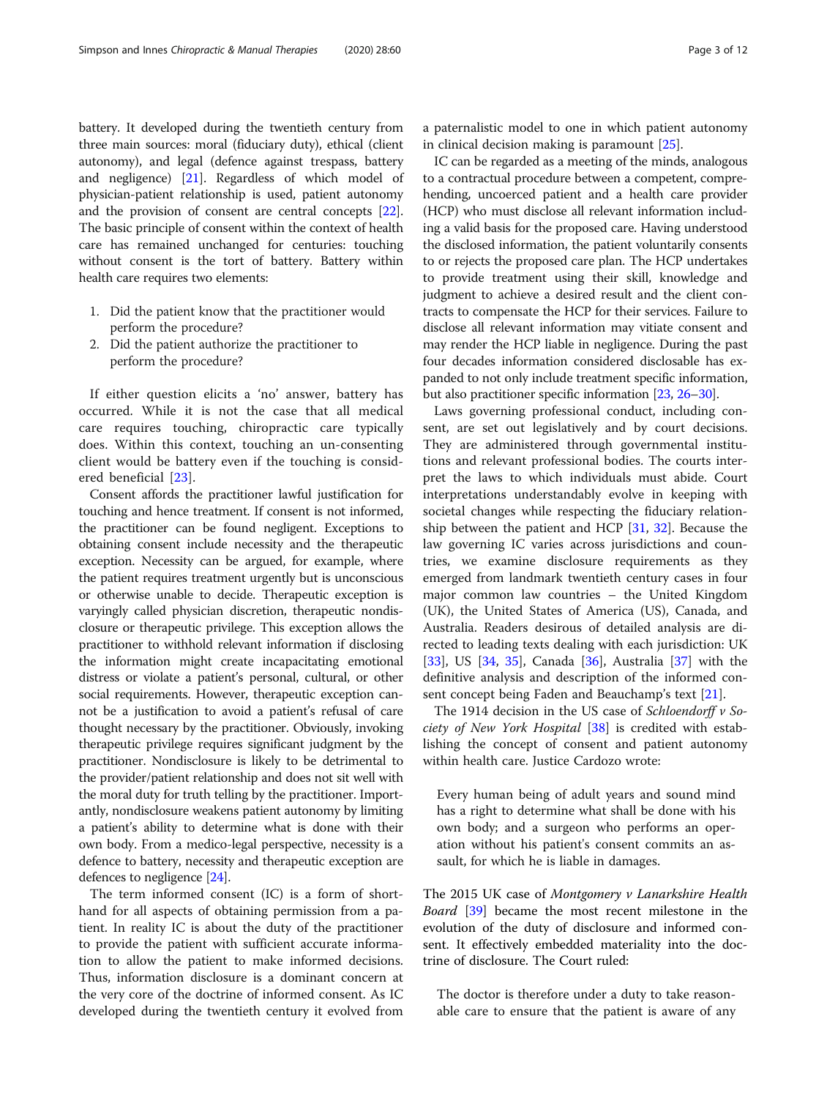battery. It developed during the twentieth century from three main sources: moral (fiduciary duty), ethical (client autonomy), and legal (defence against trespass, battery and negligence) [[21](#page-10-0)]. Regardless of which model of physician-patient relationship is used, patient autonomy and the provision of consent are central concepts [[22](#page-10-0)]. The basic principle of consent within the context of health care has remained unchanged for centuries: touching without consent is the tort of battery. Battery within health care requires two elements:

- 1. Did the patient know that the practitioner would perform the procedure?
- 2. Did the patient authorize the practitioner to perform the procedure?

If either question elicits a 'no' answer, battery has occurred. While it is not the case that all medical care requires touching, chiropractic care typically does. Within this context, touching an un-consenting client would be battery even if the touching is considered beneficial [\[23](#page-10-0)].

Consent affords the practitioner lawful justification for touching and hence treatment. If consent is not informed, the practitioner can be found negligent. Exceptions to obtaining consent include necessity and the therapeutic exception. Necessity can be argued, for example, where the patient requires treatment urgently but is unconscious or otherwise unable to decide. Therapeutic exception is varyingly called physician discretion, therapeutic nondisclosure or therapeutic privilege. This exception allows the practitioner to withhold relevant information if disclosing the information might create incapacitating emotional distress or violate a patient's personal, cultural, or other social requirements. However, therapeutic exception cannot be a justification to avoid a patient's refusal of care thought necessary by the practitioner. Obviously, invoking therapeutic privilege requires significant judgment by the practitioner. Nondisclosure is likely to be detrimental to the provider/patient relationship and does not sit well with the moral duty for truth telling by the practitioner. Importantly, nondisclosure weakens patient autonomy by limiting a patient's ability to determine what is done with their own body. From a medico-legal perspective, necessity is a defence to battery, necessity and therapeutic exception are defences to negligence [\[24\]](#page-11-0).

The term informed consent (IC) is a form of shorthand for all aspects of obtaining permission from a patient. In reality IC is about the duty of the practitioner to provide the patient with sufficient accurate information to allow the patient to make informed decisions. Thus, information disclosure is a dominant concern at the very core of the doctrine of informed consent. As IC developed during the twentieth century it evolved from a paternalistic model to one in which patient autonomy in clinical decision making is paramount [\[25\]](#page-11-0).

IC can be regarded as a meeting of the minds, analogous to a contractual procedure between a competent, comprehending, uncoerced patient and a health care provider (HCP) who must disclose all relevant information including a valid basis for the proposed care. Having understood the disclosed information, the patient voluntarily consents to or rejects the proposed care plan. The HCP undertakes to provide treatment using their skill, knowledge and judgment to achieve a desired result and the client contracts to compensate the HCP for their services. Failure to disclose all relevant information may vitiate consent and may render the HCP liable in negligence. During the past four decades information considered disclosable has expanded to not only include treatment specific information, but also practitioner specific information [\[23](#page-10-0), [26](#page-11-0)–[30\]](#page-11-0).

Laws governing professional conduct, including consent, are set out legislatively and by court decisions. They are administered through governmental institutions and relevant professional bodies. The courts interpret the laws to which individuals must abide. Court interpretations understandably evolve in keeping with societal changes while respecting the fiduciary relationship between the patient and HCP [[31](#page-11-0), [32\]](#page-11-0). Because the law governing IC varies across jurisdictions and countries, we examine disclosure requirements as they emerged from landmark twentieth century cases in four major common law countries – the United Kingdom (UK), the United States of America (US), Canada, and Australia. Readers desirous of detailed analysis are directed to leading texts dealing with each jurisdiction: UK [[33\]](#page-11-0), US [\[34](#page-11-0), [35\]](#page-11-0), Canada [[36](#page-11-0)], Australia [[37\]](#page-11-0) with the definitive analysis and description of the informed consent concept being Faden and Beauchamp's text [[21\]](#page-10-0).

The 1914 decision in the US case of Schloendorff  $v$  Society of New York Hospital [\[38](#page-11-0)] is credited with establishing the concept of consent and patient autonomy within health care. Justice Cardozo wrote:

Every human being of adult years and sound mind has a right to determine what shall be done with his own body; and a surgeon who performs an operation without his patient's consent commits an assault, for which he is liable in damages.

The 2015 UK case of Montgomery v Lanarkshire Health Board [[39\]](#page-11-0) became the most recent milestone in the evolution of the duty of disclosure and informed consent. It effectively embedded materiality into the doctrine of disclosure. The Court ruled:

The doctor is therefore under a duty to take reasonable care to ensure that the patient is aware of any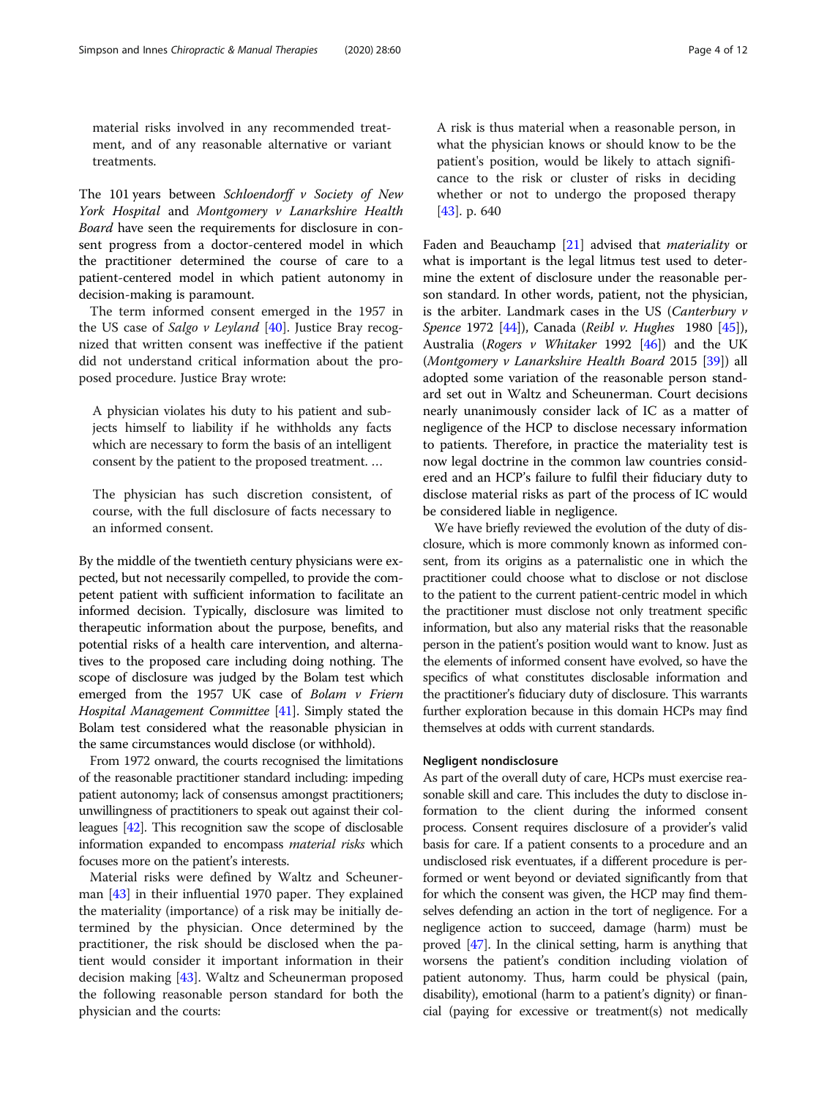material risks involved in any recommended treatment, and of any reasonable alternative or variant treatments.

The 101 years between Schloendorff  $v$  Society of New York Hospital and Montgomery v Lanarkshire Health Board have seen the requirements for disclosure in consent progress from a doctor-centered model in which the practitioner determined the course of care to a patient-centered model in which patient autonomy in decision-making is paramount.

The term informed consent emerged in the 1957 in the US case of *Salgo v Leyland* [[40](#page-11-0)]. Justice Bray recognized that written consent was ineffective if the patient did not understand critical information about the proposed procedure. Justice Bray wrote:

A physician violates his duty to his patient and subjects himself to liability if he withholds any facts which are necessary to form the basis of an intelligent consent by the patient to the proposed treatment. …

The physician has such discretion consistent, of course, with the full disclosure of facts necessary to an informed consent.

By the middle of the twentieth century physicians were expected, but not necessarily compelled, to provide the competent patient with sufficient information to facilitate an informed decision. Typically, disclosure was limited to therapeutic information about the purpose, benefits, and potential risks of a health care intervention, and alternatives to the proposed care including doing nothing. The scope of disclosure was judged by the Bolam test which emerged from the 1957 UK case of Bolam v Friern Hospital Management Committee [[41](#page-11-0)]. Simply stated the Bolam test considered what the reasonable physician in the same circumstances would disclose (or withhold).

From 1972 onward, the courts recognised the limitations of the reasonable practitioner standard including: impeding patient autonomy; lack of consensus amongst practitioners; unwillingness of practitioners to speak out against their colleagues [\[42\]](#page-11-0). This recognition saw the scope of disclosable information expanded to encompass material risks which focuses more on the patient's interests.

Material risks were defined by Waltz and Scheunerman [\[43](#page-11-0)] in their influential 1970 paper. They explained the materiality (importance) of a risk may be initially determined by the physician. Once determined by the practitioner, the risk should be disclosed when the patient would consider it important information in their decision making [[43\]](#page-11-0). Waltz and Scheunerman proposed the following reasonable person standard for both the physician and the courts:

A risk is thus material when a reasonable person, in what the physician knows or should know to be the patient's position, would be likely to attach significance to the risk or cluster of risks in deciding whether or not to undergo the proposed therapy [[43\]](#page-11-0). p. 640

Faden and Beauchamp [\[21\]](#page-10-0) advised that *materiality* or what is important is the legal litmus test used to determine the extent of disclosure under the reasonable person standard. In other words, patient, not the physician, is the arbiter. Landmark cases in the US (Canterbury v Spence 1972 [\[44](#page-11-0)]), Canada (Reibl v. Hughes 1980 [\[45](#page-11-0)]), Australia (Rogers v Whitaker 1992 [[46\]](#page-11-0)) and the UK (Montgomery v Lanarkshire Health Board 2015 [\[39](#page-11-0)]) all adopted some variation of the reasonable person standard set out in Waltz and Scheunerman. Court decisions nearly unanimously consider lack of IC as a matter of negligence of the HCP to disclose necessary information to patients. Therefore, in practice the materiality test is now legal doctrine in the common law countries considered and an HCP's failure to fulfil their fiduciary duty to disclose material risks as part of the process of IC would be considered liable in negligence.

We have briefly reviewed the evolution of the duty of disclosure, which is more commonly known as informed consent, from its origins as a paternalistic one in which the practitioner could choose what to disclose or not disclose to the patient to the current patient-centric model in which the practitioner must disclose not only treatment specific information, but also any material risks that the reasonable person in the patient's position would want to know. Just as the elements of informed consent have evolved, so have the specifics of what constitutes disclosable information and the practitioner's fiduciary duty of disclosure. This warrants further exploration because in this domain HCPs may find themselves at odds with current standards.

#### Negligent nondisclosure

As part of the overall duty of care, HCPs must exercise reasonable skill and care. This includes the duty to disclose information to the client during the informed consent process. Consent requires disclosure of a provider's valid basis for care. If a patient consents to a procedure and an undisclosed risk eventuates, if a different procedure is performed or went beyond or deviated significantly from that for which the consent was given, the HCP may find themselves defending an action in the tort of negligence. For a negligence action to succeed, damage (harm) must be proved [\[47](#page-11-0)]. In the clinical setting, harm is anything that worsens the patient's condition including violation of patient autonomy. Thus, harm could be physical (pain, disability), emotional (harm to a patient's dignity) or financial (paying for excessive or treatment(s) not medically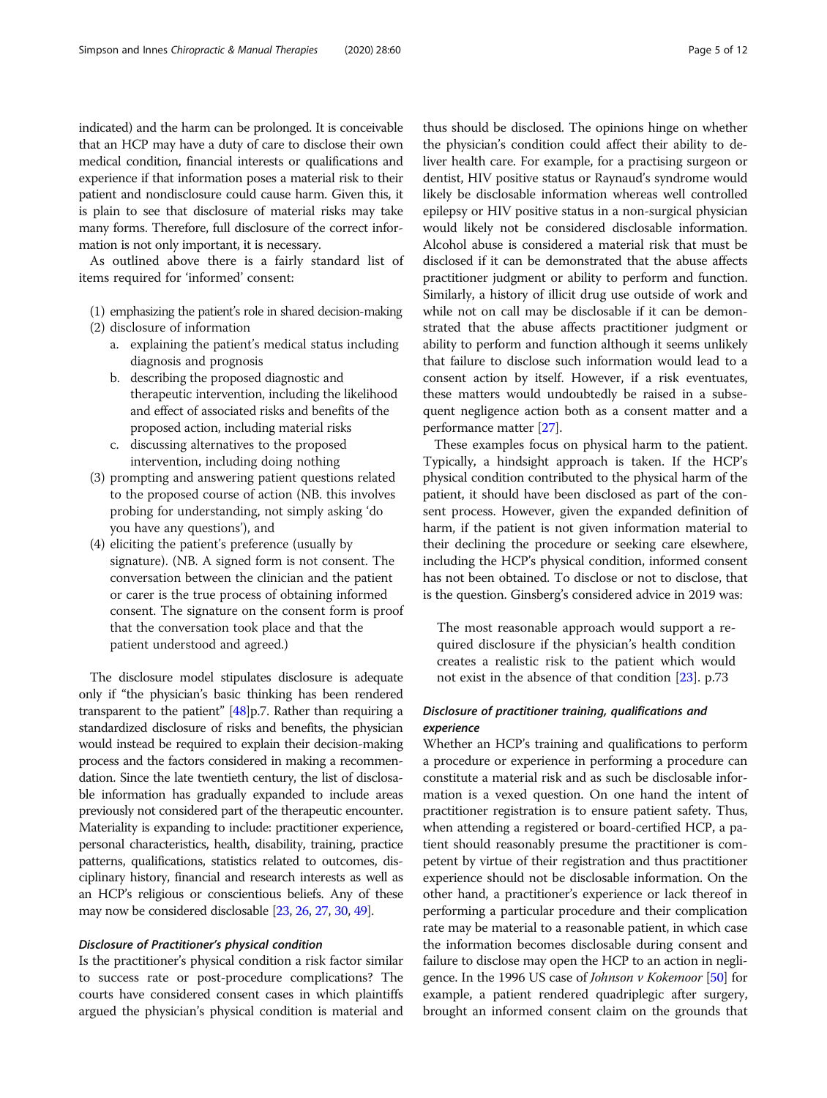indicated) and the harm can be prolonged. It is conceivable that an HCP may have a duty of care to disclose their own medical condition, financial interests or qualifications and experience if that information poses a material risk to their patient and nondisclosure could cause harm. Given this, it is plain to see that disclosure of material risks may take many forms. Therefore, full disclosure of the correct information is not only important, it is necessary.

As outlined above there is a fairly standard list of items required for 'informed' consent:

- (1) emphasizing the patient's role in shared decision-making
- (2) disclosure of information
	- a. explaining the patient's medical status including diagnosis and prognosis
	- b. describing the proposed diagnostic and therapeutic intervention, including the likelihood and effect of associated risks and benefits of the proposed action, including material risks
	- c. discussing alternatives to the proposed intervention, including doing nothing
- (3) prompting and answering patient questions related to the proposed course of action (NB. this involves probing for understanding, not simply asking 'do you have any questions'), and
- (4) eliciting the patient's preference (usually by signature). (NB. A signed form is not consent. The conversation between the clinician and the patient or carer is the true process of obtaining informed consent. The signature on the consent form is proof that the conversation took place and that the patient understood and agreed.)

The disclosure model stipulates disclosure is adequate only if "the physician's basic thinking has been rendered transparent to the patient" [\[48](#page-11-0)]p.7. Rather than requiring a standardized disclosure of risks and benefits, the physician would instead be required to explain their decision-making process and the factors considered in making a recommendation. Since the late twentieth century, the list of disclosable information has gradually expanded to include areas previously not considered part of the therapeutic encounter. Materiality is expanding to include: practitioner experience, personal characteristics, health, disability, training, practice patterns, qualifications, statistics related to outcomes, disciplinary history, financial and research interests as well as an HCP's religious or conscientious beliefs. Any of these may now be considered disclosable [\[23](#page-10-0), [26](#page-11-0), [27](#page-11-0), [30](#page-11-0), [49](#page-11-0)].

#### Disclosure of Practitioner's physical condition

Is the practitioner's physical condition a risk factor similar to success rate or post-procedure complications? The courts have considered consent cases in which plaintiffs argued the physician's physical condition is material and

thus should be disclosed. The opinions hinge on whether the physician's condition could affect their ability to deliver health care. For example, for a practising surgeon or dentist, HIV positive status or Raynaud's syndrome would likely be disclosable information whereas well controlled epilepsy or HIV positive status in a non-surgical physician would likely not be considered disclosable information. Alcohol abuse is considered a material risk that must be disclosed if it can be demonstrated that the abuse affects practitioner judgment or ability to perform and function. Similarly, a history of illicit drug use outside of work and while not on call may be disclosable if it can be demonstrated that the abuse affects practitioner judgment or ability to perform and function although it seems unlikely that failure to disclose such information would lead to a consent action by itself. However, if a risk eventuates, these matters would undoubtedly be raised in a subsequent negligence action both as a consent matter and a performance matter [\[27\]](#page-11-0).

These examples focus on physical harm to the patient. Typically, a hindsight approach is taken. If the HCP's physical condition contributed to the physical harm of the patient, it should have been disclosed as part of the consent process. However, given the expanded definition of harm, if the patient is not given information material to their declining the procedure or seeking care elsewhere, including the HCP's physical condition, informed consent has not been obtained. To disclose or not to disclose, that is the question. Ginsberg's considered advice in 2019 was:

The most reasonable approach would support a required disclosure if the physician's health condition creates a realistic risk to the patient which would not exist in the absence of that condition [[23](#page-10-0)]. p.73

#### Disclosure of practitioner training, qualifications and experience

Whether an HCP's training and qualifications to perform a procedure or experience in performing a procedure can constitute a material risk and as such be disclosable information is a vexed question. On one hand the intent of practitioner registration is to ensure patient safety. Thus, when attending a registered or board-certified HCP, a patient should reasonably presume the practitioner is competent by virtue of their registration and thus practitioner experience should not be disclosable information. On the other hand, a practitioner's experience or lack thereof in performing a particular procedure and their complication rate may be material to a reasonable patient, in which case the information becomes disclosable during consent and failure to disclose may open the HCP to an action in negli-gence. In the 1996 US case of Johnson v Kokemoor [[50](#page-11-0)] for example, a patient rendered quadriplegic after surgery, brought an informed consent claim on the grounds that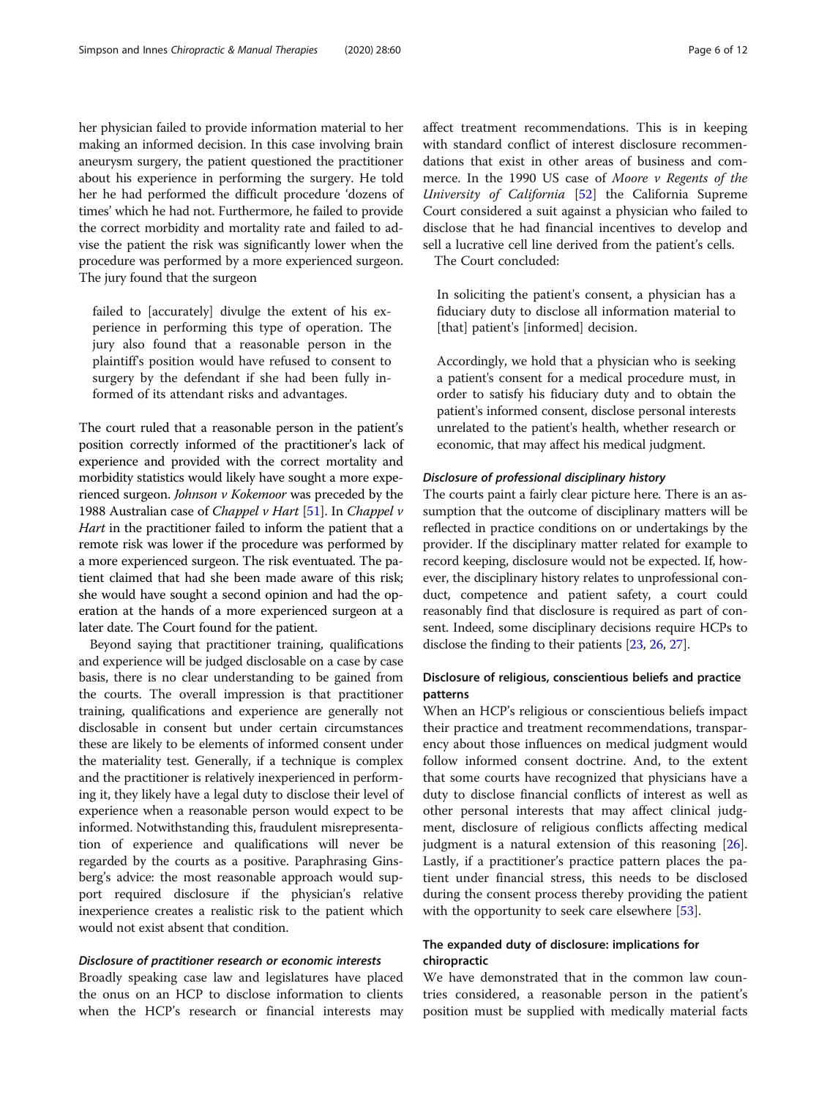her physician failed to provide information material to her making an informed decision. In this case involving brain aneurysm surgery, the patient questioned the practitioner about his experience in performing the surgery. He told her he had performed the difficult procedure 'dozens of times' which he had not. Furthermore, he failed to provide the correct morbidity and mortality rate and failed to advise the patient the risk was significantly lower when the procedure was performed by a more experienced surgeon. The jury found that the surgeon

failed to [accurately] divulge the extent of his experience in performing this type of operation. The jury also found that a reasonable person in the plaintiff's position would have refused to consent to surgery by the defendant if she had been fully informed of its attendant risks and advantages.

The court ruled that a reasonable person in the patient's position correctly informed of the practitioner's lack of experience and provided with the correct mortality and morbidity statistics would likely have sought a more experienced surgeon. *Johnson v Kokemoor* was preceded by the 1988 Australian case of *Chappel v Hart* [\[51\]](#page-11-0). In *Chappel v* Hart in the practitioner failed to inform the patient that a remote risk was lower if the procedure was performed by a more experienced surgeon. The risk eventuated. The patient claimed that had she been made aware of this risk; she would have sought a second opinion and had the operation at the hands of a more experienced surgeon at a later date. The Court found for the patient.

Beyond saying that practitioner training, qualifications and experience will be judged disclosable on a case by case basis, there is no clear understanding to be gained from the courts. The overall impression is that practitioner training, qualifications and experience are generally not disclosable in consent but under certain circumstances these are likely to be elements of informed consent under the materiality test. Generally, if a technique is complex and the practitioner is relatively inexperienced in performing it, they likely have a legal duty to disclose their level of experience when a reasonable person would expect to be informed. Notwithstanding this, fraudulent misrepresentation of experience and qualifications will never be regarded by the courts as a positive. Paraphrasing Ginsberg's advice: the most reasonable approach would support required disclosure if the physician's relative inexperience creates a realistic risk to the patient which would not exist absent that condition.

#### Disclosure of practitioner research or economic interests

Broadly speaking case law and legislatures have placed the onus on an HCP to disclose information to clients when the HCP's research or financial interests may

affect treatment recommendations. This is in keeping with standard conflict of interest disclosure recommendations that exist in other areas of business and commerce. In the 1990 US case of Moore  $\nu$  Regents of the University of California [\[52\]](#page-11-0) the California Supreme Court considered a suit against a physician who failed to disclose that he had financial incentives to develop and sell a lucrative cell line derived from the patient's cells.

The Court concluded:

In soliciting the patient's consent, a physician has a fiduciary duty to disclose all information material to [that] patient's [informed] decision.

Accordingly, we hold that a physician who is seeking a patient's consent for a medical procedure must, in order to satisfy his fiduciary duty and to obtain the patient's informed consent, disclose personal interests unrelated to the patient's health, whether research or economic, that may affect his medical judgment.

#### Disclosure of professional disciplinary history

The courts paint a fairly clear picture here. There is an assumption that the outcome of disciplinary matters will be reflected in practice conditions on or undertakings by the provider. If the disciplinary matter related for example to record keeping, disclosure would not be expected. If, however, the disciplinary history relates to unprofessional conduct, competence and patient safety, a court could reasonably find that disclosure is required as part of consent. Indeed, some disciplinary decisions require HCPs to disclose the finding to their patients [[23](#page-10-0), [26,](#page-11-0) [27\]](#page-11-0).

#### Disclosure of religious, conscientious beliefs and practice patterns

When an HCP's religious or conscientious beliefs impact their practice and treatment recommendations, transparency about those influences on medical judgment would follow informed consent doctrine. And, to the extent that some courts have recognized that physicians have a duty to disclose financial conflicts of interest as well as other personal interests that may affect clinical judgment, disclosure of religious conflicts affecting medical judgment is a natural extension of this reasoning  $[26]$  $[26]$ . Lastly, if a practitioner's practice pattern places the patient under financial stress, this needs to be disclosed during the consent process thereby providing the patient with the opportunity to seek care elsewhere [\[53\]](#page-11-0).

#### The expanded duty of disclosure: implications for chiropractic

We have demonstrated that in the common law countries considered, a reasonable person in the patient's position must be supplied with medically material facts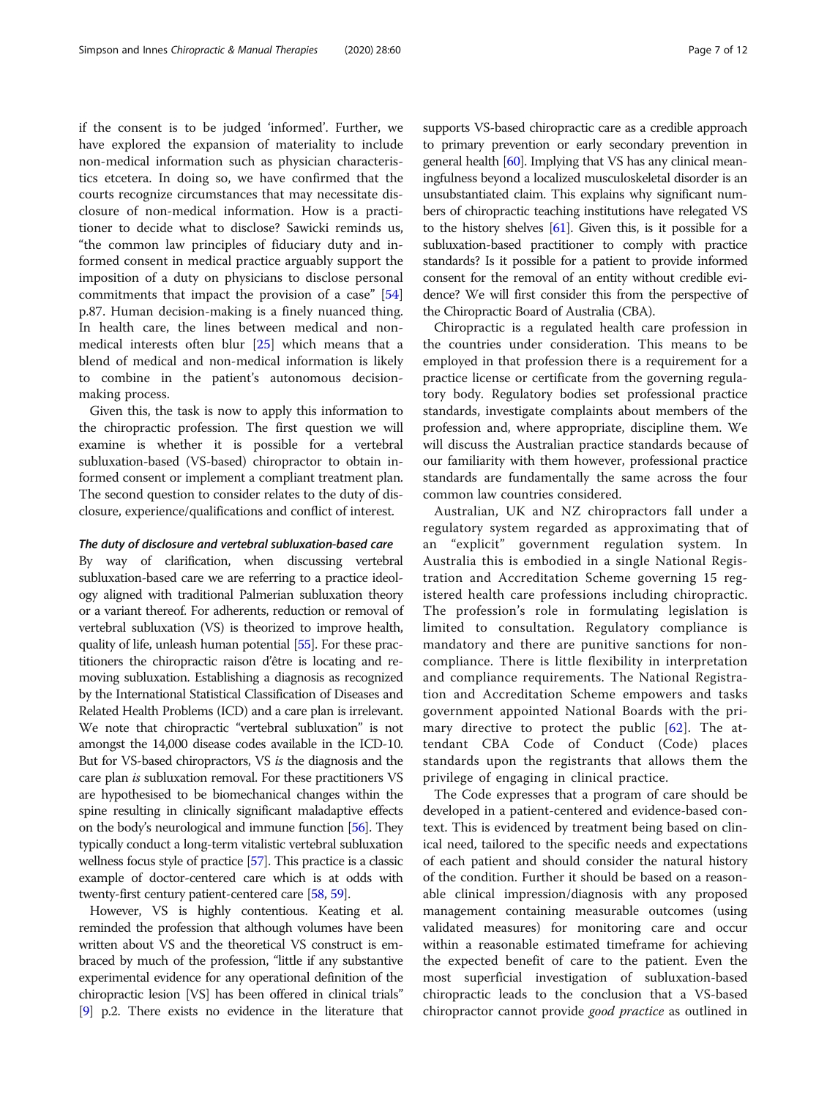if the consent is to be judged 'informed'. Further, we have explored the expansion of materiality to include non-medical information such as physician characteristics etcetera. In doing so, we have confirmed that the courts recognize circumstances that may necessitate disclosure of non-medical information. How is a practitioner to decide what to disclose? Sawicki reminds us, "the common law principles of fiduciary duty and informed consent in medical practice arguably support the imposition of a duty on physicians to disclose personal commitments that impact the provision of a case" [[54](#page-11-0)] p.87. Human decision-making is a finely nuanced thing. In health care, the lines between medical and nonmedical interests often blur [\[25\]](#page-11-0) which means that a blend of medical and non-medical information is likely to combine in the patient's autonomous decisionmaking process.

Given this, the task is now to apply this information to the chiropractic profession. The first question we will examine is whether it is possible for a vertebral subluxation-based (VS-based) chiropractor to obtain informed consent or implement a compliant treatment plan. The second question to consider relates to the duty of disclosure, experience/qualifications and conflict of interest.

#### The duty of disclosure and vertebral subluxation-based care

By way of clarification, when discussing vertebral subluxation-based care we are referring to a practice ideology aligned with traditional Palmerian subluxation theory or a variant thereof. For adherents, reduction or removal of vertebral subluxation (VS) is theorized to improve health, quality of life, unleash human potential [\[55\]](#page-11-0). For these practitioners the chiropractic raison d'être is locating and removing subluxation. Establishing a diagnosis as recognized by the International Statistical Classification of Diseases and Related Health Problems (ICD) and a care plan is irrelevant. We note that chiropractic "vertebral subluxation" is not amongst the 14,000 disease codes available in the ICD-10. But for VS-based chiropractors, VS is the diagnosis and the care plan is subluxation removal. For these practitioners VS are hypothesised to be biomechanical changes within the spine resulting in clinically significant maladaptive effects on the body's neurological and immune function [\[56\]](#page-11-0). They typically conduct a long-term vitalistic vertebral subluxation wellness focus style of practice [[57](#page-11-0)]. This practice is a classic example of doctor-centered care which is at odds with twenty-first century patient-centered care [\[58,](#page-11-0) [59\]](#page-11-0).

However, VS is highly contentious. Keating et al. reminded the profession that although volumes have been written about VS and the theoretical VS construct is embraced by much of the profession, "little if any substantive experimental evidence for any operational definition of the chiropractic lesion [VS] has been offered in clinical trials" [[9](#page-10-0)] p.2. There exists no evidence in the literature that supports VS-based chiropractic care as a credible approach to primary prevention or early secondary prevention in general health [\[60\]](#page-11-0). Implying that VS has any clinical meaningfulness beyond a localized musculoskeletal disorder is an unsubstantiated claim. This explains why significant numbers of chiropractic teaching institutions have relegated VS to the history shelves  $[61]$ . Given this, is it possible for a subluxation-based practitioner to comply with practice standards? Is it possible for a patient to provide informed consent for the removal of an entity without credible evidence? We will first consider this from the perspective of the Chiropractic Board of Australia (CBA).

Chiropractic is a regulated health care profession in the countries under consideration. This means to be employed in that profession there is a requirement for a practice license or certificate from the governing regulatory body. Regulatory bodies set professional practice standards, investigate complaints about members of the profession and, where appropriate, discipline them. We will discuss the Australian practice standards because of our familiarity with them however, professional practice standards are fundamentally the same across the four common law countries considered.

Australian, UK and NZ chiropractors fall under a regulatory system regarded as approximating that of an "explicit" government regulation system. In Australia this is embodied in a single National Registration and Accreditation Scheme governing 15 registered health care professions including chiropractic. The profession's role in formulating legislation is limited to consultation. Regulatory compliance is mandatory and there are punitive sanctions for noncompliance. There is little flexibility in interpretation and compliance requirements. The National Registration and Accreditation Scheme empowers and tasks government appointed National Boards with the primary directive to protect the public  $[62]$  $[62]$  $[62]$ . The attendant CBA Code of Conduct (Code) places standards upon the registrants that allows them the privilege of engaging in clinical practice.

The Code expresses that a program of care should be developed in a patient-centered and evidence-based context. This is evidenced by treatment being based on clinical need, tailored to the specific needs and expectations of each patient and should consider the natural history of the condition. Further it should be based on a reasonable clinical impression/diagnosis with any proposed management containing measurable outcomes (using validated measures) for monitoring care and occur within a reasonable estimated timeframe for achieving the expected benefit of care to the patient. Even the most superficial investigation of subluxation-based chiropractic leads to the conclusion that a VS-based chiropractor cannot provide good practice as outlined in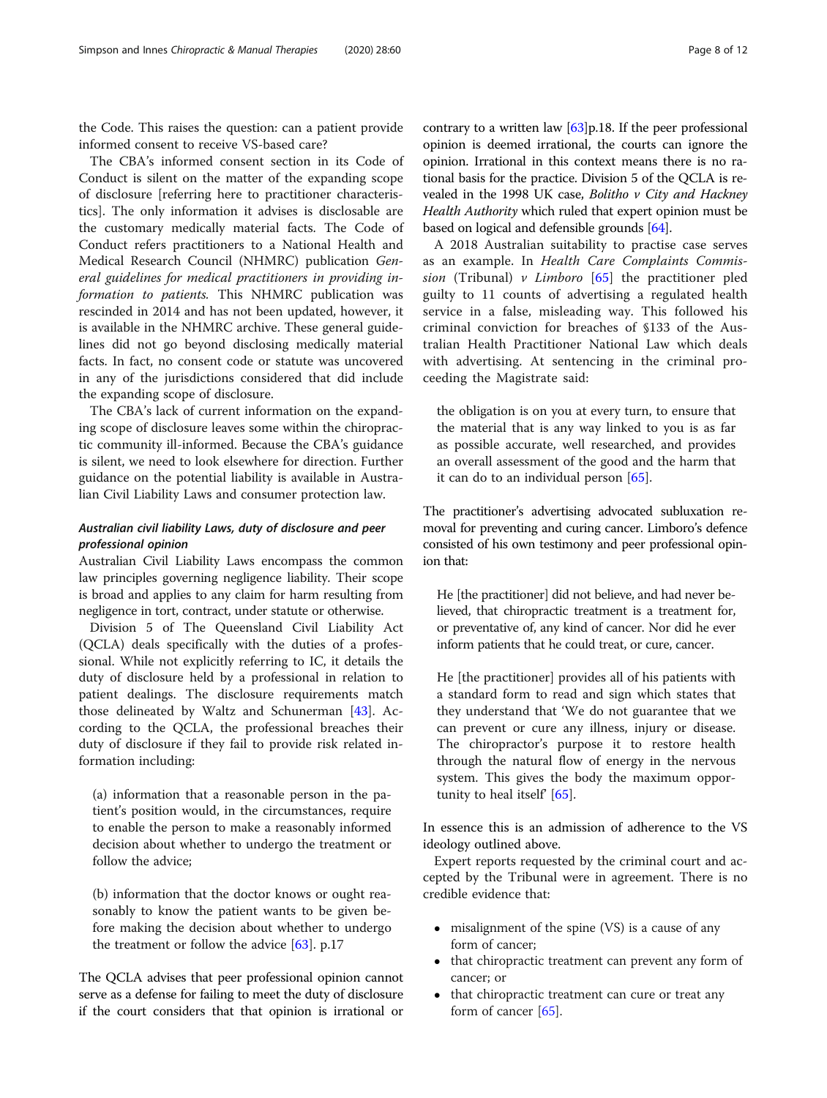the Code. This raises the question: can a patient provide informed consent to receive VS-based care?

The CBA's informed consent section in its Code of Conduct is silent on the matter of the expanding scope of disclosure [referring here to practitioner characteristics]. The only information it advises is disclosable are the customary medically material facts. The Code of Conduct refers practitioners to a National Health and Medical Research Council (NHMRC) publication General guidelines for medical practitioners in providing information to patients. This NHMRC publication was rescinded in 2014 and has not been updated, however, it is available in the NHMRC archive. These general guidelines did not go beyond disclosing medically material facts. In fact, no consent code or statute was uncovered in any of the jurisdictions considered that did include the expanding scope of disclosure.

The CBA's lack of current information on the expanding scope of disclosure leaves some within the chiropractic community ill-informed. Because the CBA's guidance is silent, we need to look elsewhere for direction. Further guidance on the potential liability is available in Australian Civil Liability Laws and consumer protection law.

#### Australian civil liability Laws, duty of disclosure and peer professional opinion

Australian Civil Liability Laws encompass the common law principles governing negligence liability. Their scope is broad and applies to any claim for harm resulting from negligence in tort, contract, under statute or otherwise.

Division 5 of The Queensland Civil Liability Act (QCLA) deals specifically with the duties of a professional. While not explicitly referring to IC, it details the duty of disclosure held by a professional in relation to patient dealings. The disclosure requirements match those delineated by Waltz and Schunerman [\[43](#page-11-0)]. According to the QCLA, the professional breaches their duty of disclosure if they fail to provide risk related information including:

(a) information that a reasonable person in the patient's position would, in the circumstances, require to enable the person to make a reasonably informed decision about whether to undergo the treatment or follow the advice;

(b) information that the doctor knows or ought reasonably to know the patient wants to be given before making the decision about whether to undergo the treatment or follow the advice [[63](#page-11-0)]. p.17

The QCLA advises that peer professional opinion cannot serve as a defense for failing to meet the duty of disclosure if the court considers that that opinion is irrational or

contrary to a written law  $[63]$ p.18. If the peer professional opinion is deemed irrational, the courts can ignore the opinion. Irrational in this context means there is no rational basis for the practice. Division 5 of the QCLA is revealed in the 1998 UK case, Bolitho v City and Hackney Health Authority which ruled that expert opinion must be based on logical and defensible grounds [\[64\]](#page-11-0).

A 2018 Australian suitability to practise case serves as an example. In Health Care Complaints Commission (Tribunal) v Limboro  $[65]$  $[65]$  the practitioner pled guilty to 11 counts of advertising a regulated health service in a false, misleading way. This followed his criminal conviction for breaches of §133 of the Australian Health Practitioner National Law which deals with advertising. At sentencing in the criminal proceeding the Magistrate said:

the obligation is on you at every turn, to ensure that the material that is any way linked to you is as far as possible accurate, well researched, and provides an overall assessment of the good and the harm that it can do to an individual person [[65\]](#page-11-0).

The practitioner's advertising advocated subluxation removal for preventing and curing cancer. Limboro's defence consisted of his own testimony and peer professional opinion that:

He [the practitioner] did not believe, and had never believed, that chiropractic treatment is a treatment for, or preventative of, any kind of cancer. Nor did he ever inform patients that he could treat, or cure, cancer.

He [the practitioner] provides all of his patients with a standard form to read and sign which states that they understand that 'We do not guarantee that we can prevent or cure any illness, injury or disease. The chiropractor's purpose it to restore health through the natural flow of energy in the nervous system. This gives the body the maximum opportunity to heal itself' [[65\]](#page-11-0).

In essence this is an admission of adherence to the VS ideology outlined above.

Expert reports requested by the criminal court and accepted by the Tribunal were in agreement. There is no credible evidence that:

- misalignment of the spine (VS) is a cause of any form of cancer;
- that chiropractic treatment can prevent any form of cancer; or
- that chiropractic treatment can cure or treat any form of cancer [\[65](#page-11-0)].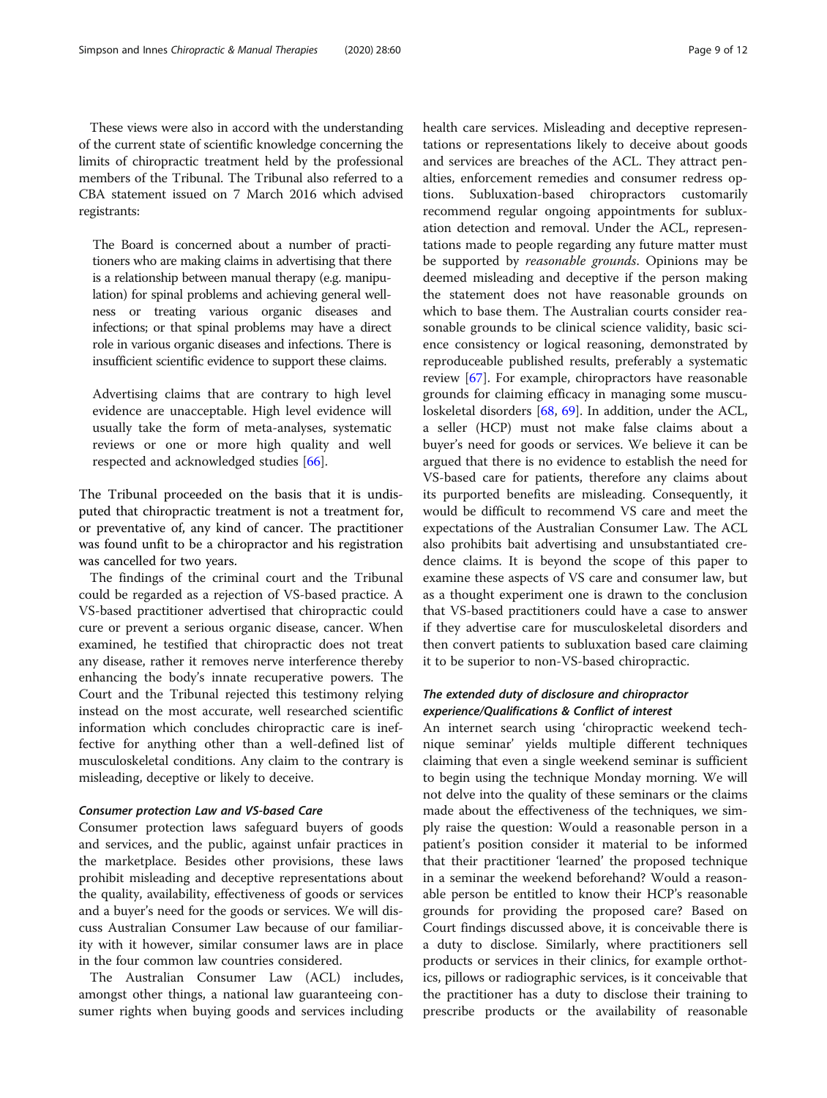These views were also in accord with the understanding of the current state of scientific knowledge concerning the limits of chiropractic treatment held by the professional members of the Tribunal. The Tribunal also referred to a CBA statement issued on 7 March 2016 which advised registrants:

The Board is concerned about a number of practitioners who are making claims in advertising that there is a relationship between manual therapy (e.g. manipulation) for spinal problems and achieving general wellness or treating various organic diseases and infections; or that spinal problems may have a direct role in various organic diseases and infections. There is insufficient scientific evidence to support these claims.

Advertising claims that are contrary to high level evidence are unacceptable. High level evidence will usually take the form of meta-analyses, systematic reviews or one or more high quality and well respected and acknowledged studies [\[66\]](#page-11-0).

The Tribunal proceeded on the basis that it is undisputed that chiropractic treatment is not a treatment for, or preventative of, any kind of cancer. The practitioner was found unfit to be a chiropractor and his registration was cancelled for two years.

The findings of the criminal court and the Tribunal could be regarded as a rejection of VS-based practice. A VS-based practitioner advertised that chiropractic could cure or prevent a serious organic disease, cancer. When examined, he testified that chiropractic does not treat any disease, rather it removes nerve interference thereby enhancing the body's innate recuperative powers. The Court and the Tribunal rejected this testimony relying instead on the most accurate, well researched scientific information which concludes chiropractic care is ineffective for anything other than a well-defined list of musculoskeletal conditions. Any claim to the contrary is misleading, deceptive or likely to deceive.

#### Consumer protection Law and VS-based Care

Consumer protection laws safeguard buyers of goods and services, and the public, against unfair practices in the marketplace. Besides other provisions, these laws prohibit misleading and deceptive representations about the quality, availability, effectiveness of goods or services and a buyer's need for the goods or services. We will discuss Australian Consumer Law because of our familiarity with it however, similar consumer laws are in place in the four common law countries considered.

The Australian Consumer Law (ACL) includes, amongst other things, a national law guaranteeing consumer rights when buying goods and services including health care services. Misleading and deceptive representations or representations likely to deceive about goods and services are breaches of the ACL. They attract penalties, enforcement remedies and consumer redress options. Subluxation-based chiropractors customarily recommend regular ongoing appointments for subluxation detection and removal. Under the ACL, representations made to people regarding any future matter must be supported by reasonable grounds. Opinions may be deemed misleading and deceptive if the person making the statement does not have reasonable grounds on which to base them. The Australian courts consider reasonable grounds to be clinical science validity, basic science consistency or logical reasoning, demonstrated by reproduceable published results, preferably a systematic review [\[67\]](#page-11-0). For example, chiropractors have reasonable grounds for claiming efficacy in managing some musculoskeletal disorders [[68](#page-11-0), [69\]](#page-11-0). In addition, under the ACL, a seller (HCP) must not make false claims about a buyer's need for goods or services. We believe it can be argued that there is no evidence to establish the need for VS-based care for patients, therefore any claims about its purported benefits are misleading. Consequently, it would be difficult to recommend VS care and meet the expectations of the Australian Consumer Law. The ACL also prohibits bait advertising and unsubstantiated credence claims. It is beyond the scope of this paper to examine these aspects of VS care and consumer law, but as a thought experiment one is drawn to the conclusion that VS-based practitioners could have a case to answer if they advertise care for musculoskeletal disorders and then convert patients to subluxation based care claiming it to be superior to non-VS-based chiropractic.

#### The extended duty of disclosure and chiropractor experience/Qualifications & Conflict of interest

An internet search using 'chiropractic weekend technique seminar' yields multiple different techniques claiming that even a single weekend seminar is sufficient to begin using the technique Monday morning. We will not delve into the quality of these seminars or the claims made about the effectiveness of the techniques, we simply raise the question: Would a reasonable person in a patient's position consider it material to be informed that their practitioner 'learned' the proposed technique in a seminar the weekend beforehand? Would a reasonable person be entitled to know their HCP's reasonable grounds for providing the proposed care? Based on Court findings discussed above, it is conceivable there is a duty to disclose. Similarly, where practitioners sell products or services in their clinics, for example orthotics, pillows or radiographic services, is it conceivable that the practitioner has a duty to disclose their training to prescribe products or the availability of reasonable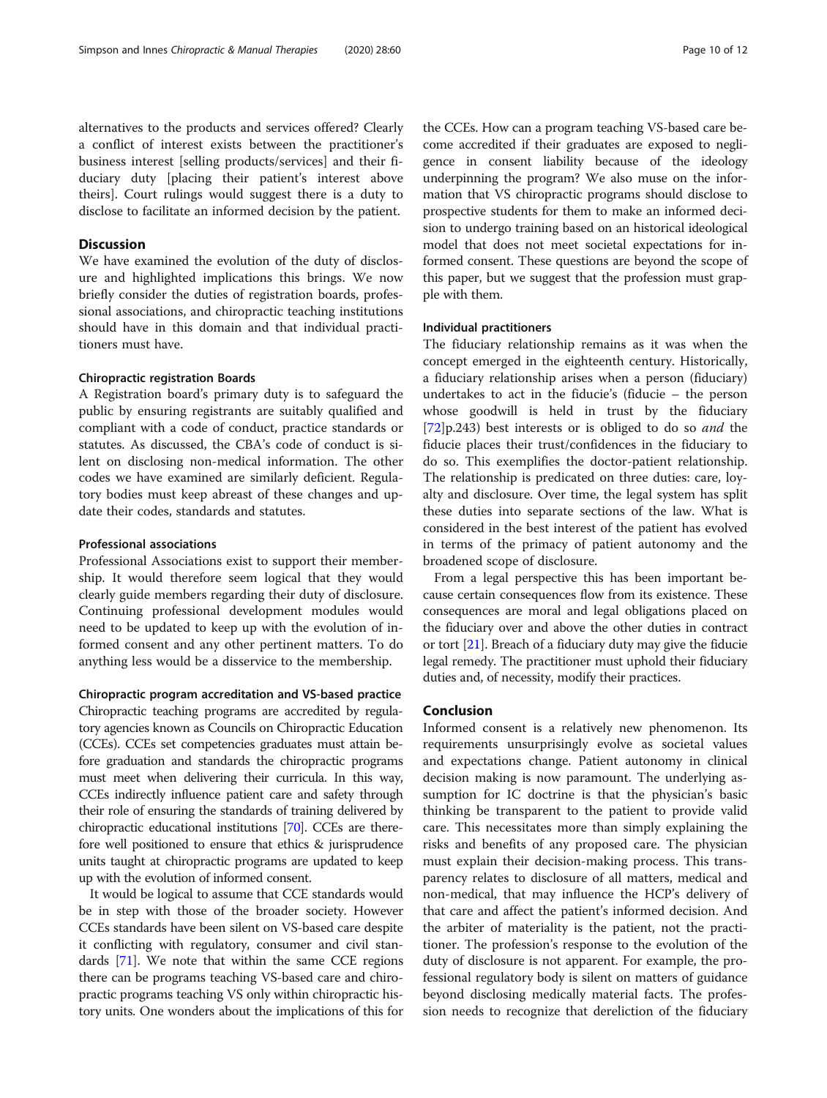alternatives to the products and services offered? Clearly a conflict of interest exists between the practitioner's business interest [selling products/services] and their fiduciary duty [placing their patient's interest above theirs]. Court rulings would suggest there is a duty to disclose to facilitate an informed decision by the patient.

#### **Discussion**

We have examined the evolution of the duty of disclosure and highlighted implications this brings. We now briefly consider the duties of registration boards, professional associations, and chiropractic teaching institutions should have in this domain and that individual practitioners must have.

#### Chiropractic registration Boards

A Registration board's primary duty is to safeguard the public by ensuring registrants are suitably qualified and compliant with a code of conduct, practice standards or statutes. As discussed, the CBA's code of conduct is silent on disclosing non-medical information. The other codes we have examined are similarly deficient. Regulatory bodies must keep abreast of these changes and update their codes, standards and statutes.

#### Professional associations

Professional Associations exist to support their membership. It would therefore seem logical that they would clearly guide members regarding their duty of disclosure. Continuing professional development modules would need to be updated to keep up with the evolution of informed consent and any other pertinent matters. To do anything less would be a disservice to the membership.

Chiropractic program accreditation and VS-based practice Chiropractic teaching programs are accredited by regulatory agencies known as Councils on Chiropractic Education (CCEs). CCEs set competencies graduates must attain before graduation and standards the chiropractic programs must meet when delivering their curricula. In this way, CCEs indirectly influence patient care and safety through their role of ensuring the standards of training delivered by chiropractic educational institutions [\[70](#page-11-0)]. CCEs are therefore well positioned to ensure that ethics & jurisprudence units taught at chiropractic programs are updated to keep up with the evolution of informed consent.

It would be logical to assume that CCE standards would be in step with those of the broader society. However CCEs standards have been silent on VS-based care despite it conflicting with regulatory, consumer and civil standards [\[71\]](#page-11-0). We note that within the same CCE regions there can be programs teaching VS-based care and chiropractic programs teaching VS only within chiropractic history units. One wonders about the implications of this for

the CCEs. How can a program teaching VS-based care become accredited if their graduates are exposed to negligence in consent liability because of the ideology underpinning the program? We also muse on the information that VS chiropractic programs should disclose to prospective students for them to make an informed decision to undergo training based on an historical ideological model that does not meet societal expectations for informed consent. These questions are beyond the scope of this paper, but we suggest that the profession must grapple with them.

#### Individual practitioners

The fiduciary relationship remains as it was when the concept emerged in the eighteenth century. Historically, a fiduciary relationship arises when a person (fiduciary) undertakes to act in the fiducie's (fiducie – the person whose goodwill is held in trust by the fiduciary  $[72]p.243$  $[72]p.243$  $[72]p.243$ ) best interests or is obliged to do so *and* the fiducie places their trust/confidences in the fiduciary to do so. This exemplifies the doctor-patient relationship. The relationship is predicated on three duties: care, loyalty and disclosure. Over time, the legal system has split these duties into separate sections of the law. What is considered in the best interest of the patient has evolved in terms of the primacy of patient autonomy and the broadened scope of disclosure.

From a legal perspective this has been important because certain consequences flow from its existence. These consequences are moral and legal obligations placed on the fiduciary over and above the other duties in contract or tort [\[21](#page-10-0)]. Breach of a fiduciary duty may give the fiducie legal remedy. The practitioner must uphold their fiduciary duties and, of necessity, modify their practices.

#### Conclusion

Informed consent is a relatively new phenomenon. Its requirements unsurprisingly evolve as societal values and expectations change. Patient autonomy in clinical decision making is now paramount. The underlying assumption for IC doctrine is that the physician's basic thinking be transparent to the patient to provide valid care. This necessitates more than simply explaining the risks and benefits of any proposed care. The physician must explain their decision-making process. This transparency relates to disclosure of all matters, medical and non-medical, that may influence the HCP's delivery of that care and affect the patient's informed decision. And the arbiter of materiality is the patient, not the practitioner. The profession's response to the evolution of the duty of disclosure is not apparent. For example, the professional regulatory body is silent on matters of guidance beyond disclosing medically material facts. The profession needs to recognize that dereliction of the fiduciary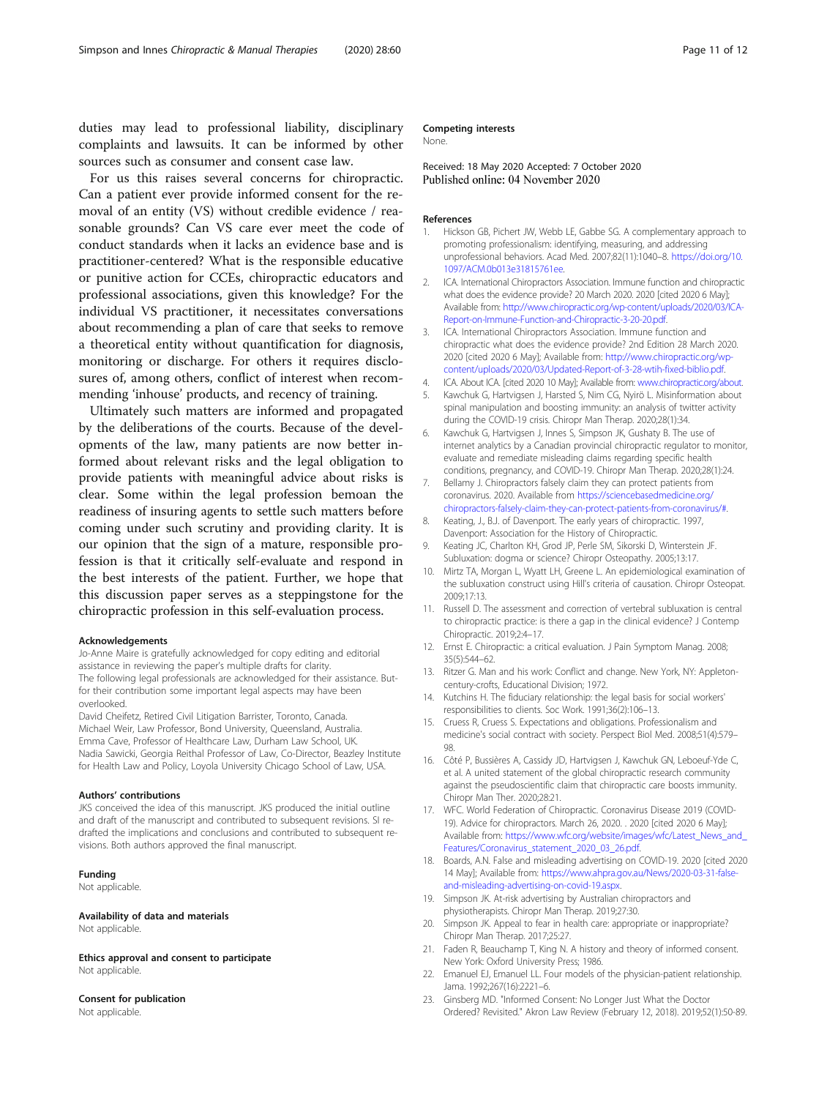<span id="page-10-0"></span>duties may lead to professional liability, disciplinary complaints and lawsuits. It can be informed by other sources such as consumer and consent case law.

For us this raises several concerns for chiropractic. Can a patient ever provide informed consent for the removal of an entity (VS) without credible evidence / reasonable grounds? Can VS care ever meet the code of conduct standards when it lacks an evidence base and is practitioner-centered? What is the responsible educative or punitive action for CCEs, chiropractic educators and professional associations, given this knowledge? For the individual VS practitioner, it necessitates conversations about recommending a plan of care that seeks to remove a theoretical entity without quantification for diagnosis, monitoring or discharge. For others it requires disclosures of, among others, conflict of interest when recommending 'inhouse' products, and recency of training.

Ultimately such matters are informed and propagated by the deliberations of the courts. Because of the developments of the law, many patients are now better informed about relevant risks and the legal obligation to provide patients with meaningful advice about risks is clear. Some within the legal profession bemoan the readiness of insuring agents to settle such matters before coming under such scrutiny and providing clarity. It is our opinion that the sign of a mature, responsible profession is that it critically self-evaluate and respond in the best interests of the patient. Further, we hope that this discussion paper serves as a steppingstone for the chiropractic profession in this self-evaluation process.

#### Acknowledgements

Jo-Anne Maire is gratefully acknowledged for copy editing and editorial assistance in reviewing the paper's multiple drafts for clarity. The following legal professionals are acknowledged for their assistance. Butfor their contribution some important legal aspects may have been overlooked.

David Cheifetz, Retired Civil Litigation Barrister, Toronto, Canada. Michael Weir, Law Professor, Bond University, Queensland, Australia. Emma Cave, Professor of Healthcare Law, Durham Law School, UK. Nadia Sawicki, Georgia Reithal Professor of Law, Co-Director, Beazley Institute for Health Law and Policy, Loyola University Chicago School of Law, USA.

#### Authors' contributions

JKS conceived the idea of this manuscript. JKS produced the initial outline and draft of the manuscript and contributed to subsequent revisions. SI redrafted the implications and conclusions and contributed to subsequent revisions. Both authors approved the final manuscript.

#### Funding

Not applicable.

Availability of data and materials Not applicable.

Ethics approval and consent to participate Not applicable.

## Consent for publication

Not applicable.

#### Competing interests

None.

Received: 18 May 2020 Accepted: 7 October 2020 Published online: 04 November 2020

#### References

- 1. Hickson GB, Pichert JW, Webb LE, Gabbe SG. A complementary approach to promoting professionalism: identifying, measuring, and addressing unprofessional behaviors. Acad Med. 2007;82(11):1040–8. [https://doi.org/10.](https://doi.org/10.1097/ACM.0b013e31815761ee) [1097/ACM.0b013e31815761ee.](https://doi.org/10.1097/ACM.0b013e31815761ee)
- 2. ICA. International Chiropractors Association. Immune function and chiropractic what does the evidence provide? 20 March 2020. 2020 [cited 2020 6 May]; Available from: [http://www.chiropractic.org/wp-content/uploads/2020/03/ICA-](http://www.chiropractic.org/wp-content/uploads/2020/03/ICA-Report-on-Immune-Function-and-Chiropractic-3-20-20.pdf)[Report-on-Immune-Function-and-Chiropractic-3-20-20.pdf.](http://www.chiropractic.org/wp-content/uploads/2020/03/ICA-Report-on-Immune-Function-and-Chiropractic-3-20-20.pdf)
- 3. ICA. International Chiropractors Association. Immune function and chiropractic what does the evidence provide? 2nd Edition 28 March 2020. 2020 [cited 2020 6 May]; Available from: [http://www.chiropractic.org/wp](http://www.chiropractic.org/wp-content/uploads/2020/03/Updated-Report-of-3-28-wtih-fixed-biblio.pdf)[content/uploads/2020/03/Updated-Report-of-3-28-wtih-fixed-biblio.pdf.](http://www.chiropractic.org/wp-content/uploads/2020/03/Updated-Report-of-3-28-wtih-fixed-biblio.pdf)
- 4. ICA. About ICA. [cited 2020 10 May]; Available from: [www.chiropractic.org/about](http://www.chiropractic.org/about).
- 5. Kawchuk G, Hartvigsen J, Harsted S, Nim CG, Nyirö L. Misinformation about spinal manipulation and boosting immunity: an analysis of twitter activity during the COVID-19 crisis. Chiropr Man Therap. 2020;28(1):34.
- 6. Kawchuk G, Hartvigsen J, Innes S, Simpson JK, Gushaty B. The use of internet analytics by a Canadian provincial chiropractic regulator to monitor, evaluate and remediate misleading claims regarding specific health conditions, pregnancy, and COVID-19. Chiropr Man Therap. 2020;28(1):24.
- 7. Bellamy J. Chiropractors falsely claim they can protect patients from coronavirus. 2020. Available from [https://sciencebasedmedicine.org/](https://sciencebasedmedicine.org/chiropractors-falsely-claim-they-can-protect-patients-from-coronavirus/#) [chiropractors-falsely-claim-they-can-protect-patients-from-coronavirus/#](https://sciencebasedmedicine.org/chiropractors-falsely-claim-they-can-protect-patients-from-coronavirus/#).
- 8. Keating, J., B.J. of Davenport. The early years of chiropractic. 1997, Davenport: Association for the History of Chiropractic.
- 9. Keating JC, Charlton KH, Grod JP, Perle SM, Sikorski D, Winterstein JF. Subluxation: dogma or science? Chiropr Osteopathy. 2005;13:17.
- 10. Mirtz TA, Morgan L, Wyatt LH, Greene L. An epidemiological examination of the subluxation construct using Hill's criteria of causation. Chiropr Osteopat. 2009;17:13.
- 11. Russell D. The assessment and correction of vertebral subluxation is central to chiropractic practice: is there a gap in the clinical evidence? J Contemp Chiropractic. 2019;2:4–17.
- 12. Ernst E. Chiropractic: a critical evaluation. J Pain Symptom Manag. 2008; 35(5):544–62.
- 13. Ritzer G. Man and his work: Conflict and change. New York, NY: Appletoncentury-crofts, Educational Division; 1972.
- 14. Kutchins H. The fiduciary relationship: the legal basis for social workers' responsibilities to clients. Soc Work. 1991;36(2):106–13.
- 15. Cruess R, Cruess S. Expectations and obligations. Professionalism and medicine's social contract with society. Perspect Biol Med. 2008;51(4):579– **98.**
- 16. Côté P, Bussières A, Cassidy JD, Hartvigsen J, Kawchuk GN, Leboeuf-Yde C, et al. A united statement of the global chiropractic research community against the pseudoscientific claim that chiropractic care boosts immunity. Chiropr Man Ther. 2020;28:21.
- 17. WFC. World Federation of Chiropractic. Coronavirus Disease 2019 (COVID-19). Advice for chiropractors. March 26, 2020. . 2020 [cited 2020 6 May]; Available from: [https://www.wfc.org/website/images/wfc/Latest\\_News\\_and\\_](https://www.wfc.org/website/images/wfc/Latest_News_and_Features/Coronavirus_statement_2020_03_26.pdf) [Features/Coronavirus\\_statement\\_2020\\_03\\_26.pdf.](https://www.wfc.org/website/images/wfc/Latest_News_and_Features/Coronavirus_statement_2020_03_26.pdf)
- 18. Boards, A.N. False and misleading advertising on COVID-19. 2020 [cited 2020 14 May]; Available from: [https://www.ahpra.gov.au/News/2020-03-31-false](https://www.ahpra.gov.au/News/2020-03-31-false-and-misleading-advertising-on-covid-19.aspx)[and-misleading-advertising-on-covid-19.aspx.](https://www.ahpra.gov.au/News/2020-03-31-false-and-misleading-advertising-on-covid-19.aspx)
- 19. Simpson JK. At-risk advertising by Australian chiropractors and physiotherapists. Chiropr Man Therap. 2019;27:30.
- 20. Simpson JK. Appeal to fear in health care: appropriate or inappropriate? Chiropr Man Therap. 2017;25:27.
- 21. Faden R, Beauchamp T, King N. A history and theory of informed consent. New York: Oxford University Press; 1986.
- 22. Emanuel EJ, Emanuel LL. Four models of the physician-patient relationship. Jama. 1992;267(16):2221–6.
- 23. Ginsberg MD. "Informed Consent: No Longer Just What the Doctor Ordered? Revisited." Akron Law Review (February 12, 2018). 2019;52(1):50-89.